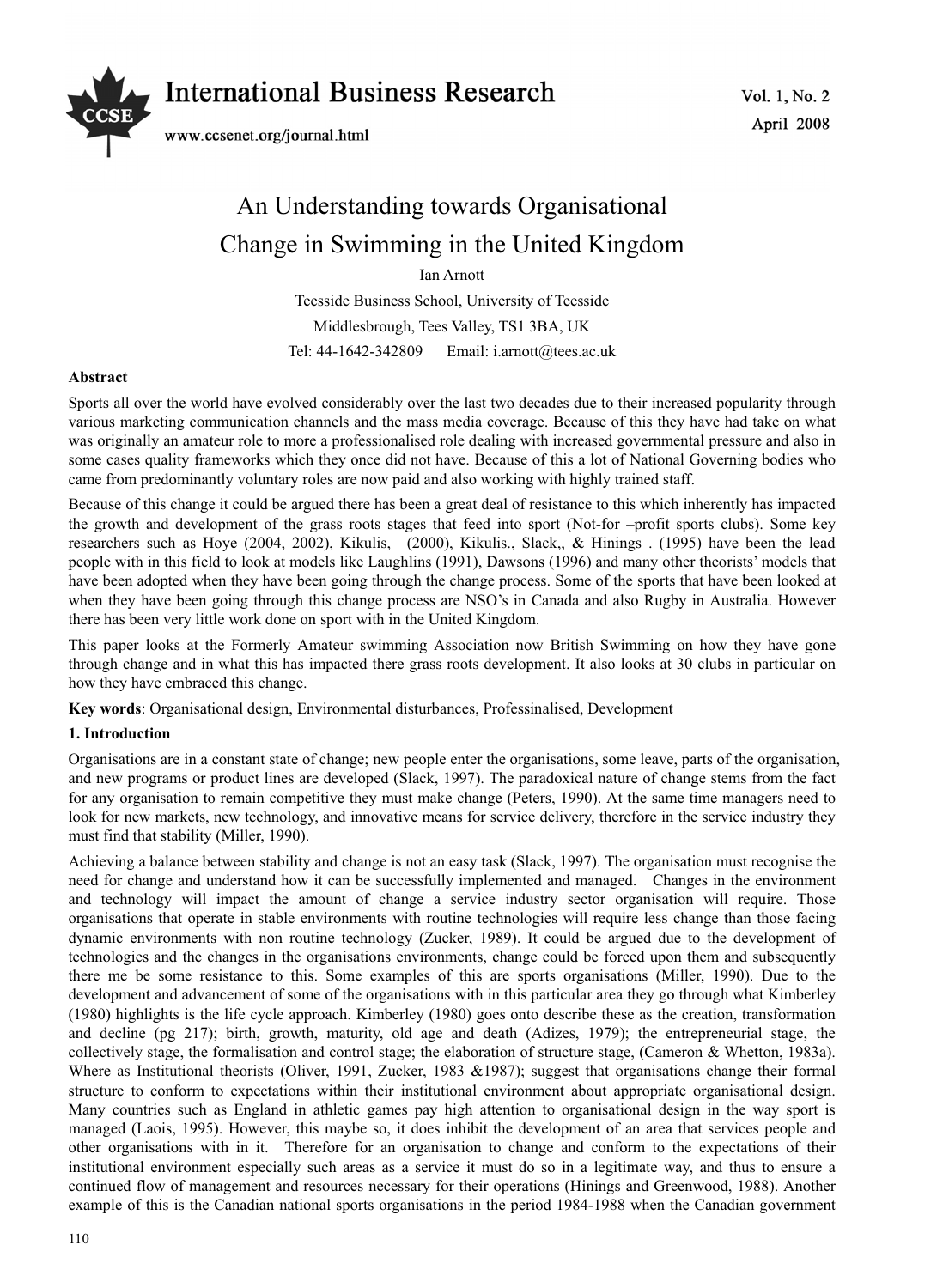

Vol. 1, No. 2 April 2008

# An Understanding towards Organisational Change in Swimming in the United Kingdom

Ian Arnott

Teesside Business School, University of Teesside Middlesbrough, Tees Valley, TS1 3BA, UK Tel: 44-1642-342809 Email: i.arnott@tees.ac.uk

# **Abstract**

Sports all over the world have evolved considerably over the last two decades due to their increased popularity through various marketing communication channels and the mass media coverage. Because of this they have had take on what was originally an amateur role to more a professionalised role dealing with increased governmental pressure and also in some cases quality frameworks which they once did not have. Because of this a lot of National Governing bodies who came from predominantly voluntary roles are now paid and also working with highly trained staff.

Because of this change it could be argued there has been a great deal of resistance to this which inherently has impacted the growth and development of the grass roots stages that feed into sport (Not-for –profit sports clubs). Some key researchers such as Hoye (2004, 2002), Kikulis, (2000), Kikulis., Slack,, & Hinings . (1995) have been the lead people with in this field to look at models like Laughlins (1991), Dawsons (1996) and many other theorists' models that have been adopted when they have been going through the change process. Some of the sports that have been looked at when they have been going through this change process are NSO's in Canada and also Rugby in Australia. However there has been very little work done on sport with in the United Kingdom.

This paper looks at the Formerly Amateur swimming Association now British Swimming on how they have gone through change and in what this has impacted there grass roots development. It also looks at 30 clubs in particular on how they have embraced this change.

**Key words**: Organisational design, Environmental disturbances, Professinalised, Development

# **1. Introduction**

Organisations are in a constant state of change; new people enter the organisations, some leave, parts of the organisation, and new programs or product lines are developed (Slack, 1997). The paradoxical nature of change stems from the fact for any organisation to remain competitive they must make change (Peters, 1990). At the same time managers need to look for new markets, new technology, and innovative means for service delivery, therefore in the service industry they must find that stability (Miller, 1990).

Achieving a balance between stability and change is not an easy task (Slack, 1997). The organisation must recognise the need for change and understand how it can be successfully implemented and managed. Changes in the environment and technology will impact the amount of change a service industry sector organisation will require. Those organisations that operate in stable environments with routine technologies will require less change than those facing dynamic environments with non routine technology (Zucker, 1989). It could be argued due to the development of technologies and the changes in the organisations environments, change could be forced upon them and subsequently there me be some resistance to this. Some examples of this are sports organisations (Miller, 1990). Due to the development and advancement of some of the organisations with in this particular area they go through what Kimberley (1980) highlights is the life cycle approach. Kimberley (1980) goes onto describe these as the creation, transformation and decline (pg 217); birth, growth, maturity, old age and death (Adizes, 1979); the entrepreneurial stage, the collectively stage, the formalisation and control stage; the elaboration of structure stage, (Cameron & Whetton, 1983a). Where as Institutional theorists (Oliver, 1991, Zucker, 1983 &1987); suggest that organisations change their formal structure to conform to expectations within their institutional environment about appropriate organisational design. Many countries such as England in athletic games pay high attention to organisational design in the way sport is managed (Laois, 1995). However, this maybe so, it does inhibit the development of an area that services people and other organisations with in it. Therefore for an organisation to change and conform to the expectations of their institutional environment especially such areas as a service it must do so in a legitimate way, and thus to ensure a continued flow of management and resources necessary for their operations (Hinings and Greenwood, 1988). Another example of this is the Canadian national sports organisations in the period 1984-1988 when the Canadian government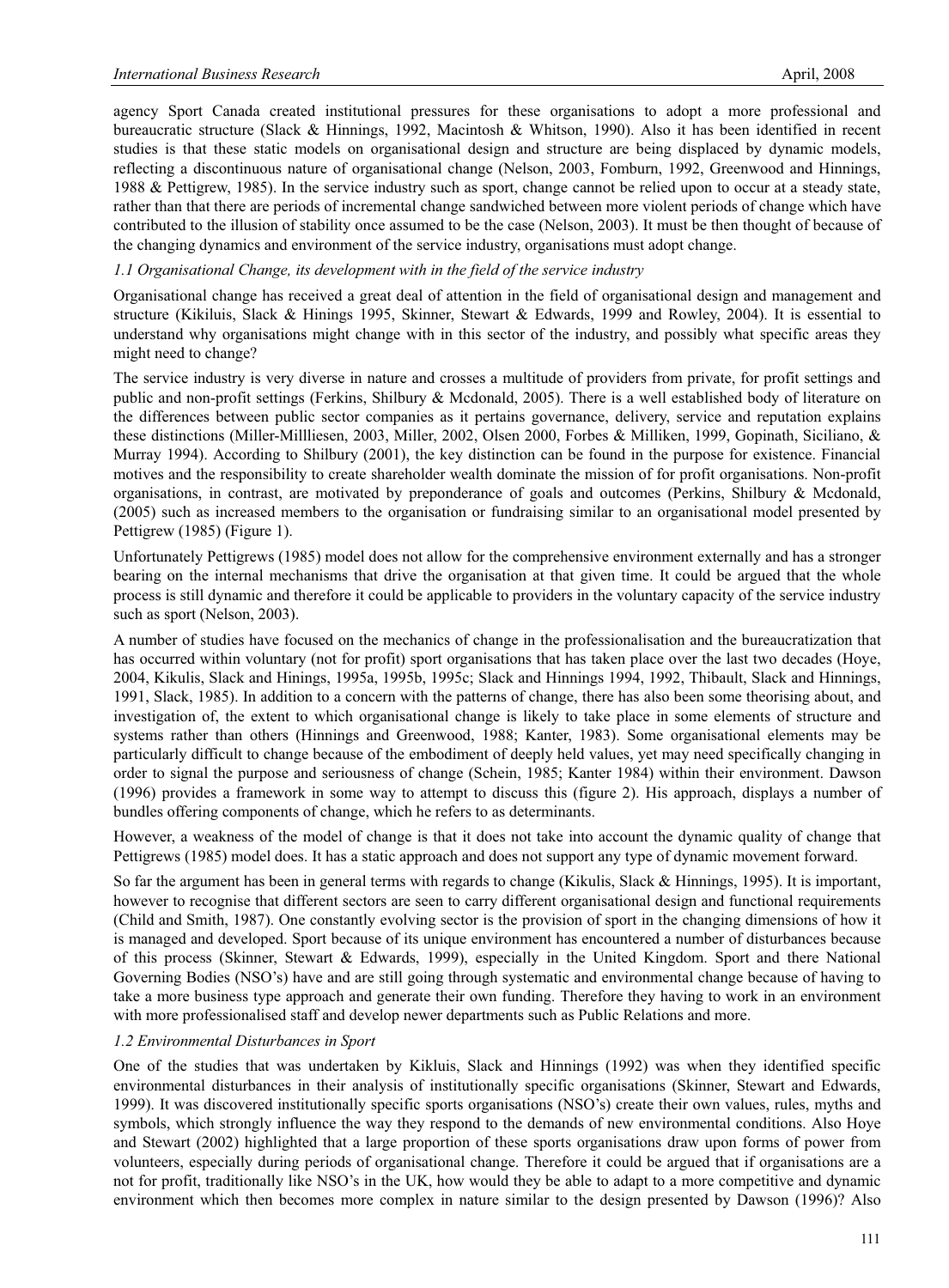agency Sport Canada created institutional pressures for these organisations to adopt a more professional and bureaucratic structure (Slack & Hinnings, 1992, Macintosh & Whitson, 1990). Also it has been identified in recent studies is that these static models on organisational design and structure are being displaced by dynamic models, reflecting a discontinuous nature of organisational change (Nelson, 2003, Fomburn, 1992, Greenwood and Hinnings, 1988 & Pettigrew, 1985). In the service industry such as sport, change cannot be relied upon to occur at a steady state, rather than that there are periods of incremental change sandwiched between more violent periods of change which have contributed to the illusion of stability once assumed to be the case (Nelson, 2003). It must be then thought of because of the changing dynamics and environment of the service industry, organisations must adopt change.

## *1.1 Organisational Change, its development with in the field of the service industry*

Organisational change has received a great deal of attention in the field of organisational design and management and structure (Kikiluis, Slack & Hinings 1995, Skinner, Stewart & Edwards, 1999 and Rowley, 2004). It is essential to understand why organisations might change with in this sector of the industry, and possibly what specific areas they might need to change?

The service industry is very diverse in nature and crosses a multitude of providers from private, for profit settings and public and non-profit settings (Ferkins, Shilbury & Mcdonald, 2005). There is a well established body of literature on the differences between public sector companies as it pertains governance, delivery, service and reputation explains these distinctions (Miller-Millliesen, 2003, Miller, 2002, Olsen 2000, Forbes & Milliken, 1999, Gopinath, Siciliano, & Murray 1994). According to Shilbury (2001), the key distinction can be found in the purpose for existence. Financial motives and the responsibility to create shareholder wealth dominate the mission of for profit organisations. Non-profit organisations, in contrast, are motivated by preponderance of goals and outcomes (Perkins, Shilbury & Mcdonald, (2005) such as increased members to the organisation or fundraising similar to an organisational model presented by Pettigrew (1985) (Figure 1).

Unfortunately Pettigrews (1985) model does not allow for the comprehensive environment externally and has a stronger bearing on the internal mechanisms that drive the organisation at that given time. It could be argued that the whole process is still dynamic and therefore it could be applicable to providers in the voluntary capacity of the service industry such as sport (Nelson, 2003).

A number of studies have focused on the mechanics of change in the professionalisation and the bureaucratization that has occurred within voluntary (not for profit) sport organisations that has taken place over the last two decades (Hoye, 2004, Kikulis, Slack and Hinings, 1995a, 1995b, 1995c; Slack and Hinnings 1994, 1992, Thibault, Slack and Hinnings, 1991, Slack, 1985). In addition to a concern with the patterns of change, there has also been some theorising about, and investigation of, the extent to which organisational change is likely to take place in some elements of structure and systems rather than others (Hinnings and Greenwood, 1988; Kanter, 1983). Some organisational elements may be particularly difficult to change because of the embodiment of deeply held values, yet may need specifically changing in order to signal the purpose and seriousness of change (Schein, 1985; Kanter 1984) within their environment. Dawson (1996) provides a framework in some way to attempt to discuss this (figure 2). His approach, displays a number of bundles offering components of change, which he refers to as determinants.

However, a weakness of the model of change is that it does not take into account the dynamic quality of change that Pettigrews (1985) model does. It has a static approach and does not support any type of dynamic movement forward.

So far the argument has been in general terms with regards to change (Kikulis, Slack & Hinnings, 1995). It is important, however to recognise that different sectors are seen to carry different organisational design and functional requirements (Child and Smith, 1987). One constantly evolving sector is the provision of sport in the changing dimensions of how it is managed and developed. Sport because of its unique environment has encountered a number of disturbances because of this process (Skinner, Stewart & Edwards, 1999), especially in the United Kingdom. Sport and there National Governing Bodies (NSO's) have and are still going through systematic and environmental change because of having to take a more business type approach and generate their own funding. Therefore they having to work in an environment with more professionalised staff and develop newer departments such as Public Relations and more.

#### *1.2 Environmental Disturbances in Sport*

One of the studies that was undertaken by Kikluis, Slack and Hinnings (1992) was when they identified specific environmental disturbances in their analysis of institutionally specific organisations (Skinner, Stewart and Edwards, 1999). It was discovered institutionally specific sports organisations (NSO's) create their own values, rules, myths and symbols, which strongly influence the way they respond to the demands of new environmental conditions. Also Hoye and Stewart (2002) highlighted that a large proportion of these sports organisations draw upon forms of power from volunteers, especially during periods of organisational change. Therefore it could be argued that if organisations are a not for profit, traditionally like NSO's in the UK, how would they be able to adapt to a more competitive and dynamic environment which then becomes more complex in nature similar to the design presented by Dawson (1996)? Also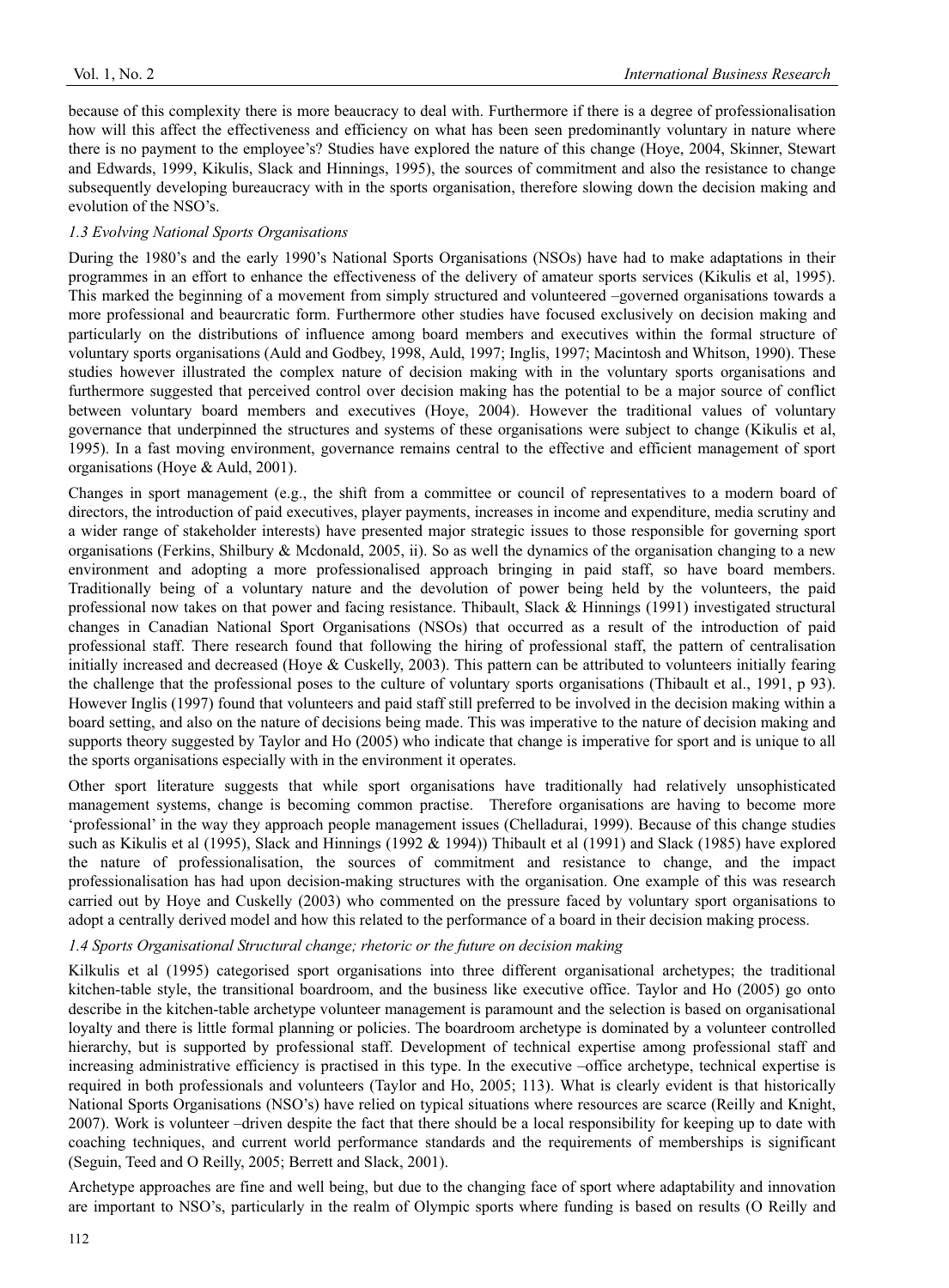because of this complexity there is more beaucracy to deal with. Furthermore if there is a degree of professionalisation how will this affect the effectiveness and efficiency on what has been seen predominantly voluntary in nature where there is no payment to the employee's? Studies have explored the nature of this change (Hoye, 2004, Skinner, Stewart and Edwards, 1999, Kikulis, Slack and Hinnings, 1995), the sources of commitment and also the resistance to change subsequently developing bureaucracy with in the sports organisation, therefore slowing down the decision making and evolution of the NSO's.

# *1.3 Evolving National Sports Organisations*

During the 1980's and the early 1990's National Sports Organisations (NSOs) have had to make adaptations in their programmes in an effort to enhance the effectiveness of the delivery of amateur sports services (Kikulis et al, 1995). This marked the beginning of a movement from simply structured and volunteered –governed organisations towards a more professional and beaurcratic form. Furthermore other studies have focused exclusively on decision making and particularly on the distributions of influence among board members and executives within the formal structure of voluntary sports organisations (Auld and Godbey, 1998, Auld, 1997; Inglis, 1997; Macintosh and Whitson, 1990). These studies however illustrated the complex nature of decision making with in the voluntary sports organisations and furthermore suggested that perceived control over decision making has the potential to be a major source of conflict between voluntary board members and executives (Hoye, 2004). However the traditional values of voluntary governance that underpinned the structures and systems of these organisations were subject to change (Kikulis et al, 1995). In a fast moving environment, governance remains central to the effective and efficient management of sport organisations (Hoye & Auld, 2001).

Changes in sport management (e.g., the shift from a committee or council of representatives to a modern board of directors, the introduction of paid executives, player payments, increases in income and expenditure, media scrutiny and a wider range of stakeholder interests) have presented major strategic issues to those responsible for governing sport organisations (Ferkins, Shilbury & Mcdonald, 2005, ii). So as well the dynamics of the organisation changing to a new environment and adopting a more professionalised approach bringing in paid staff, so have board members. Traditionally being of a voluntary nature and the devolution of power being held by the volunteers, the paid professional now takes on that power and facing resistance. Thibault, Slack & Hinnings (1991) investigated structural changes in Canadian National Sport Organisations (NSOs) that occurred as a result of the introduction of paid professional staff. There research found that following the hiring of professional staff, the pattern of centralisation initially increased and decreased (Hoye & Cuskelly, 2003). This pattern can be attributed to volunteers initially fearing the challenge that the professional poses to the culture of voluntary sports organisations (Thibault et al., 1991, p 93). However Inglis (1997) found that volunteers and paid staff still preferred to be involved in the decision making within a board setting, and also on the nature of decisions being made. This was imperative to the nature of decision making and supports theory suggested by Taylor and Ho (2005) who indicate that change is imperative for sport and is unique to all the sports organisations especially with in the environment it operates.

Other sport literature suggests that while sport organisations have traditionally had relatively unsophisticated management systems, change is becoming common practise. Therefore organisations are having to become more 'professional' in the way they approach people management issues (Chelladurai, 1999). Because of this change studies such as Kikulis et al (1995), Slack and Hinnings (1992 & 1994)) Thibault et al (1991) and Slack (1985) have explored the nature of professionalisation, the sources of commitment and resistance to change, and the impact professionalisation has had upon decision-making structures with the organisation. One example of this was research carried out by Hoye and Cuskelly (2003) who commented on the pressure faced by voluntary sport organisations to adopt a centrally derived model and how this related to the performance of a board in their decision making process.

### *1.4 Sports Organisational Structural change; rhetoric or the future on decision making*

Kilkulis et al (1995) categorised sport organisations into three different organisational archetypes; the traditional kitchen-table style, the transitional boardroom, and the business like executive office. Taylor and Ho (2005) go onto describe in the kitchen-table archetype volunteer management is paramount and the selection is based on organisational loyalty and there is little formal planning or policies. The boardroom archetype is dominated by a volunteer controlled hierarchy, but is supported by professional staff. Development of technical expertise among professional staff and increasing administrative efficiency is practised in this type. In the executive –office archetype, technical expertise is required in both professionals and volunteers (Taylor and Ho, 2005; 113). What is clearly evident is that historically National Sports Organisations (NSO's) have relied on typical situations where resources are scarce (Reilly and Knight, 2007). Work is volunteer –driven despite the fact that there should be a local responsibility for keeping up to date with coaching techniques, and current world performance standards and the requirements of memberships is significant (Seguin, Teed and O Reilly, 2005; Berrett and Slack, 2001).

Archetype approaches are fine and well being, but due to the changing face of sport where adaptability and innovation are important to NSO's, particularly in the realm of Olympic sports where funding is based on results (O Reilly and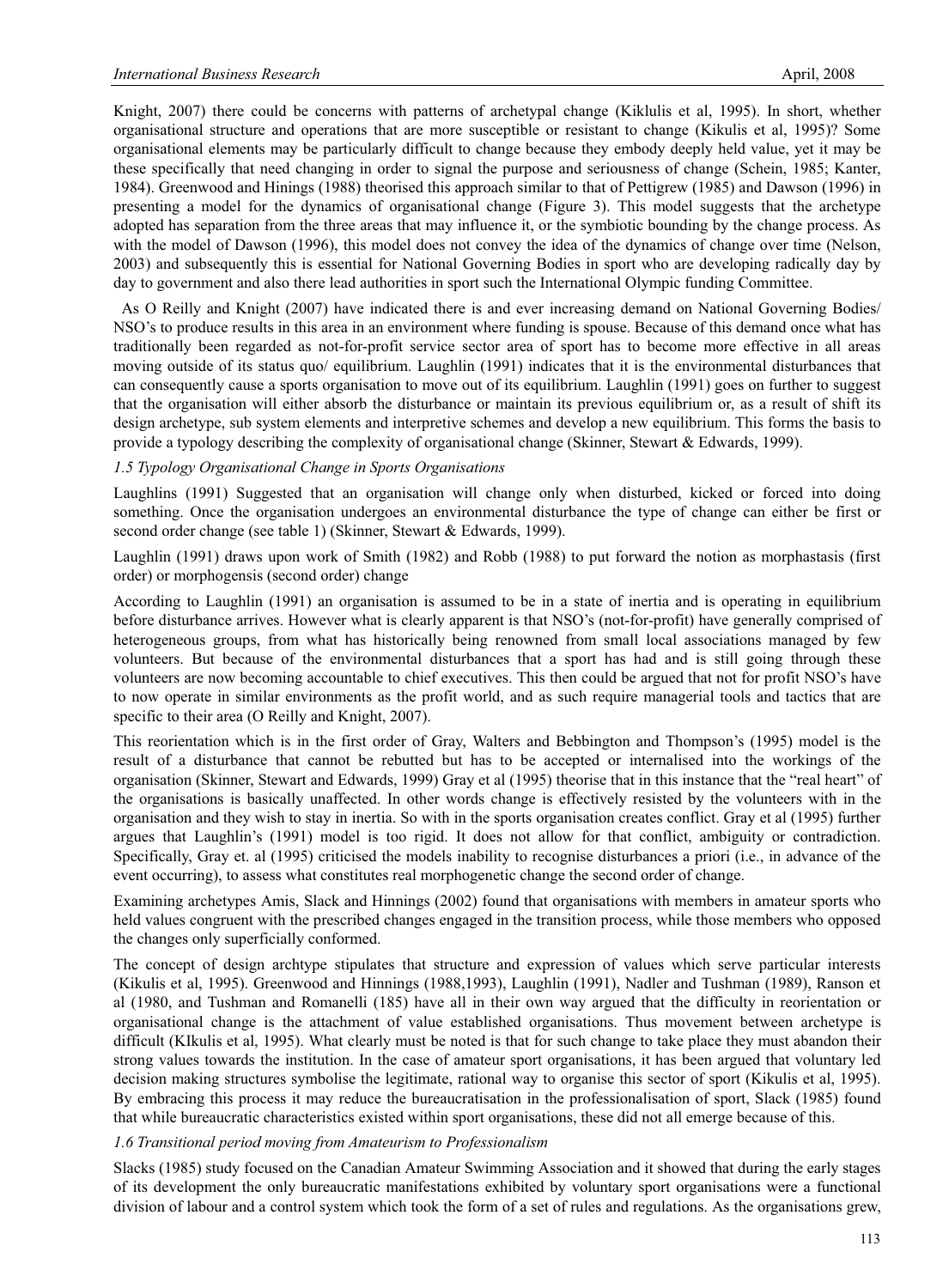Knight, 2007) there could be concerns with patterns of archetypal change (Kiklulis et al, 1995). In short, whether organisational structure and operations that are more susceptible or resistant to change (Kikulis et al, 1995)? Some organisational elements may be particularly difficult to change because they embody deeply held value, yet it may be these specifically that need changing in order to signal the purpose and seriousness of change (Schein, 1985; Kanter, 1984). Greenwood and Hinings (1988) theorised this approach similar to that of Pettigrew (1985) and Dawson (1996) in presenting a model for the dynamics of organisational change (Figure 3). This model suggests that the archetype adopted has separation from the three areas that may influence it, or the symbiotic bounding by the change process. As with the model of Dawson (1996), this model does not convey the idea of the dynamics of change over time (Nelson, 2003) and subsequently this is essential for National Governing Bodies in sport who are developing radically day by day to government and also there lead authorities in sport such the International Olympic funding Committee.

 As O Reilly and Knight (2007) have indicated there is and ever increasing demand on National Governing Bodies/ NSO's to produce results in this area in an environment where funding is spouse. Because of this demand once what has traditionally been regarded as not-for-profit service sector area of sport has to become more effective in all areas moving outside of its status quo/ equilibrium. Laughlin (1991) indicates that it is the environmental disturbances that can consequently cause a sports organisation to move out of its equilibrium. Laughlin (1991) goes on further to suggest that the organisation will either absorb the disturbance or maintain its previous equilibrium or, as a result of shift its design archetype, sub system elements and interpretive schemes and develop a new equilibrium. This forms the basis to provide a typology describing the complexity of organisational change (Skinner, Stewart & Edwards, 1999).

#### *1.5 Typology Organisational Change in Sports Organisations*

Laughlins (1991) Suggested that an organisation will change only when disturbed, kicked or forced into doing something. Once the organisation undergoes an environmental disturbance the type of change can either be first or second order change (see table 1) (Skinner, Stewart & Edwards, 1999).

Laughlin (1991) draws upon work of Smith (1982) and Robb (1988) to put forward the notion as morphastasis (first order) or morphogensis (second order) change

According to Laughlin (1991) an organisation is assumed to be in a state of inertia and is operating in equilibrium before disturbance arrives. However what is clearly apparent is that NSO's (not-for-profit) have generally comprised of heterogeneous groups, from what has historically being renowned from small local associations managed by few volunteers. But because of the environmental disturbances that a sport has had and is still going through these volunteers are now becoming accountable to chief executives. This then could be argued that not for profit NSO's have to now operate in similar environments as the profit world, and as such require managerial tools and tactics that are specific to their area (O Reilly and Knight, 2007).

This reorientation which is in the first order of Gray, Walters and Bebbington and Thompson's (1995) model is the result of a disturbance that cannot be rebutted but has to be accepted or internalised into the workings of the organisation (Skinner, Stewart and Edwards, 1999) Gray et al (1995) theorise that in this instance that the "real heart" of the organisations is basically unaffected. In other words change is effectively resisted by the volunteers with in the organisation and they wish to stay in inertia. So with in the sports organisation creates conflict. Gray et al (1995) further argues that Laughlin's (1991) model is too rigid. It does not allow for that conflict, ambiguity or contradiction. Specifically, Gray et. al (1995) criticised the models inability to recognise disturbances a priori (i.e., in advance of the event occurring), to assess what constitutes real morphogenetic change the second order of change.

Examining archetypes Amis, Slack and Hinnings (2002) found that organisations with members in amateur sports who held values congruent with the prescribed changes engaged in the transition process, while those members who opposed the changes only superficially conformed.

The concept of design archtype stipulates that structure and expression of values which serve particular interests (Kikulis et al, 1995). Greenwood and Hinnings (1988,1993), Laughlin (1991), Nadler and Tushman (1989), Ranson et al (1980, and Tushman and Romanelli (185) have all in their own way argued that the difficulty in reorientation or organisational change is the attachment of value established organisations. Thus movement between archetype is difficult (KIkulis et al, 1995). What clearly must be noted is that for such change to take place they must abandon their strong values towards the institution. In the case of amateur sport organisations, it has been argued that voluntary led decision making structures symbolise the legitimate, rational way to organise this sector of sport (Kikulis et al, 1995). By embracing this process it may reduce the bureaucratisation in the professionalisation of sport, Slack (1985) found that while bureaucratic characteristics existed within sport organisations, these did not all emerge because of this.

#### *1.6 Transitional period moving from Amateurism to Professionalism*

Slacks (1985) study focused on the Canadian Amateur Swimming Association and it showed that during the early stages of its development the only bureaucratic manifestations exhibited by voluntary sport organisations were a functional division of labour and a control system which took the form of a set of rules and regulations. As the organisations grew,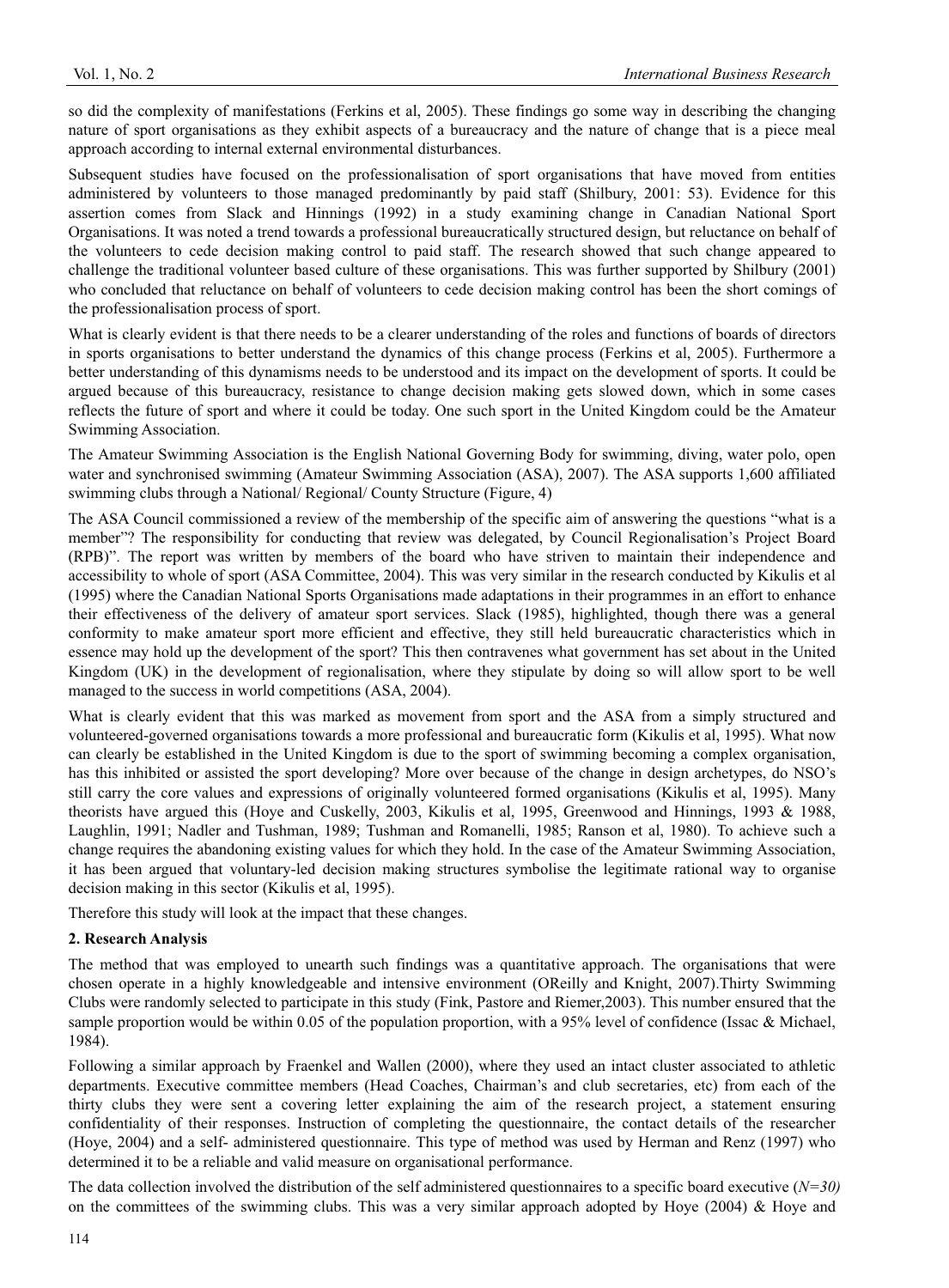so did the complexity of manifestations (Ferkins et al, 2005). These findings go some way in describing the changing nature of sport organisations as they exhibit aspects of a bureaucracy and the nature of change that is a piece meal approach according to internal external environmental disturbances.

Subsequent studies have focused on the professionalisation of sport organisations that have moved from entities administered by volunteers to those managed predominantly by paid staff (Shilbury, 2001: 53). Evidence for this assertion comes from Slack and Hinnings (1992) in a study examining change in Canadian National Sport Organisations. It was noted a trend towards a professional bureaucratically structured design, but reluctance on behalf of the volunteers to cede decision making control to paid staff. The research showed that such change appeared to challenge the traditional volunteer based culture of these organisations. This was further supported by Shilbury (2001) who concluded that reluctance on behalf of volunteers to cede decision making control has been the short comings of the professionalisation process of sport.

What is clearly evident is that there needs to be a clearer understanding of the roles and functions of boards of directors in sports organisations to better understand the dynamics of this change process (Ferkins et al, 2005). Furthermore a better understanding of this dynamisms needs to be understood and its impact on the development of sports. It could be argued because of this bureaucracy, resistance to change decision making gets slowed down, which in some cases reflects the future of sport and where it could be today. One such sport in the United Kingdom could be the Amateur Swimming Association.

The Amateur Swimming Association is the English National Governing Body for swimming, diving, water polo, open water and synchronised swimming (Amateur Swimming Association (ASA), 2007). The ASA supports 1,600 affiliated swimming clubs through a National/ Regional/ County Structure (Figure, 4)

The ASA Council commissioned a review of the membership of the specific aim of answering the questions "what is a member"? The responsibility for conducting that review was delegated, by Council Regionalisation's Project Board (RPB)". The report was written by members of the board who have striven to maintain their independence and accessibility to whole of sport (ASA Committee, 2004). This was very similar in the research conducted by Kikulis et al (1995) where the Canadian National Sports Organisations made adaptations in their programmes in an effort to enhance their effectiveness of the delivery of amateur sport services. Slack (1985), highlighted, though there was a general conformity to make amateur sport more efficient and effective, they still held bureaucratic characteristics which in essence may hold up the development of the sport? This then contravenes what government has set about in the United Kingdom (UK) in the development of regionalisation, where they stipulate by doing so will allow sport to be well managed to the success in world competitions (ASA, 2004).

What is clearly evident that this was marked as movement from sport and the ASA from a simply structured and volunteered-governed organisations towards a more professional and bureaucratic form (Kikulis et al, 1995). What now can clearly be established in the United Kingdom is due to the sport of swimming becoming a complex organisation, has this inhibited or assisted the sport developing? More over because of the change in design archetypes, do NSO's still carry the core values and expressions of originally volunteered formed organisations (Kikulis et al, 1995). Many theorists have argued this (Hoye and Cuskelly, 2003, Kikulis et al, 1995, Greenwood and Hinnings, 1993 & 1988, Laughlin, 1991; Nadler and Tushman, 1989; Tushman and Romanelli, 1985; Ranson et al, 1980). To achieve such a change requires the abandoning existing values for which they hold. In the case of the Amateur Swimming Association, it has been argued that voluntary-led decision making structures symbolise the legitimate rational way to organise decision making in this sector (Kikulis et al, 1995).

Therefore this study will look at the impact that these changes.

# **2. Research Analysis**

The method that was employed to unearth such findings was a quantitative approach. The organisations that were chosen operate in a highly knowledgeable and intensive environment (OReilly and Knight, 2007).Thirty Swimming Clubs were randomly selected to participate in this study (Fink, Pastore and Riemer,2003). This number ensured that the sample proportion would be within 0.05 of the population proportion, with a 95% level of confidence (Issac & Michael, 1984).

Following a similar approach by Fraenkel and Wallen (2000), where they used an intact cluster associated to athletic departments. Executive committee members (Head Coaches, Chairman's and club secretaries, etc) from each of the thirty clubs they were sent a covering letter explaining the aim of the research project, a statement ensuring confidentiality of their responses. Instruction of completing the questionnaire, the contact details of the researcher (Hoye, 2004) and a self- administered questionnaire. This type of method was used by Herman and Renz (1997) who determined it to be a reliable and valid measure on organisational performance.

The data collection involved the distribution of the self administered questionnaires to a specific board executive (*N=30)* on the committees of the swimming clubs. This was a very similar approach adopted by Hoye (2004)  $\&$  Hoye and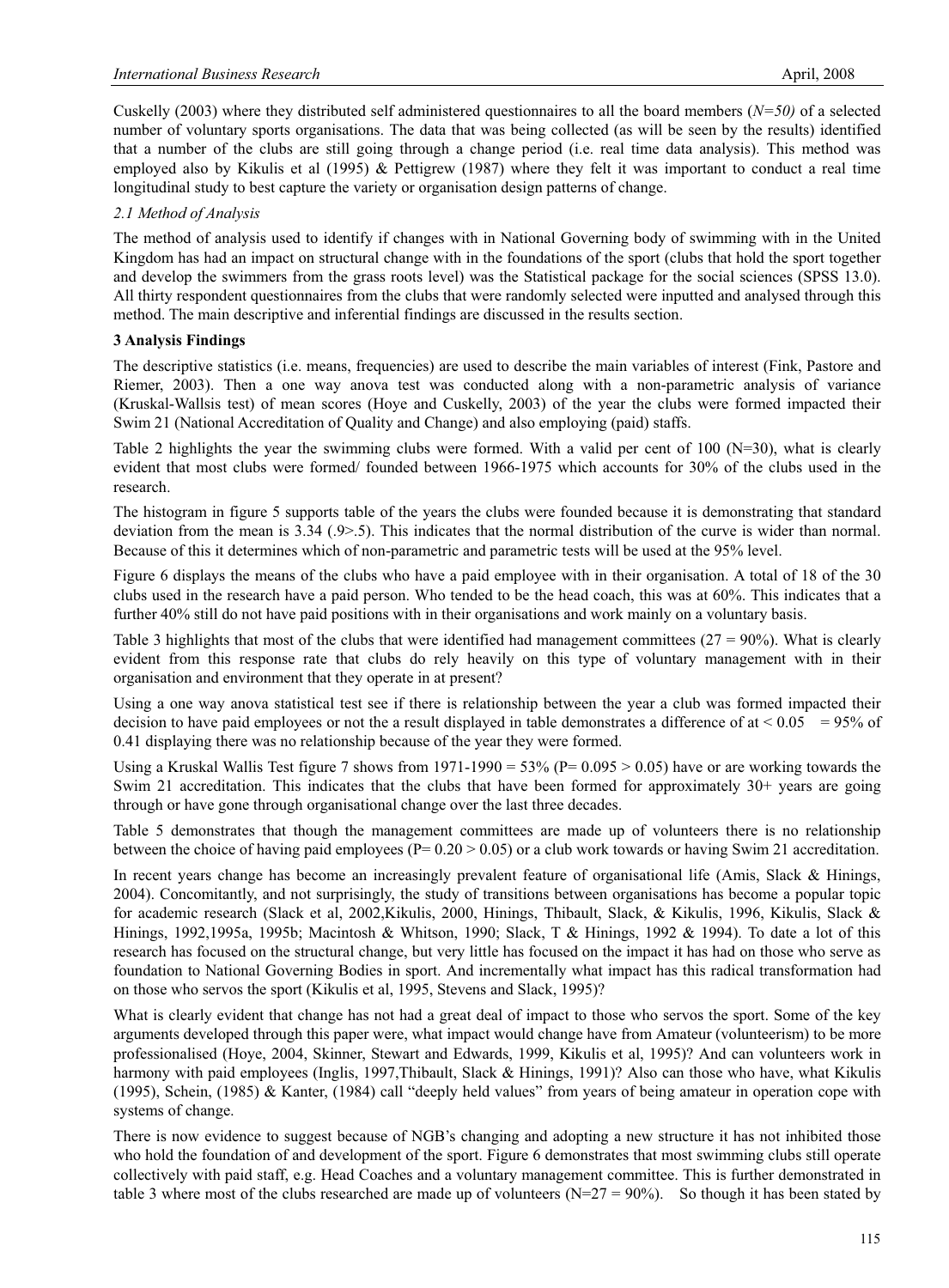Cuskelly (2003) where they distributed self administered questionnaires to all the board members (*N=50)* of a selected number of voluntary sports organisations. The data that was being collected (as will be seen by the results) identified that a number of the clubs are still going through a change period (i.e. real time data analysis). This method was employed also by Kikulis et al (1995) & Pettigrew (1987) where they felt it was important to conduct a real time longitudinal study to best capture the variety or organisation design patterns of change.

## *2.1 Method of Analysis*

The method of analysis used to identify if changes with in National Governing body of swimming with in the United Kingdom has had an impact on structural change with in the foundations of the sport (clubs that hold the sport together and develop the swimmers from the grass roots level) was the Statistical package for the social sciences (SPSS 13.0). All thirty respondent questionnaires from the clubs that were randomly selected were inputted and analysed through this method. The main descriptive and inferential findings are discussed in the results section.

## **3 Analysis Findings**

The descriptive statistics (i.e. means, frequencies) are used to describe the main variables of interest (Fink, Pastore and Riemer, 2003). Then a one way anova test was conducted along with a non-parametric analysis of variance (Kruskal-Wallsis test) of mean scores (Hoye and Cuskelly, 2003) of the year the clubs were formed impacted their Swim 21 (National Accreditation of Quality and Change) and also employing (paid) staffs.

Table 2 highlights the year the swimming clubs were formed. With a valid per cent of 100 ( $N=30$ ), what is clearly evident that most clubs were formed/ founded between 1966-1975 which accounts for 30% of the clubs used in the research.

The histogram in figure 5 supports table of the years the clubs were founded because it is demonstrating that standard deviation from the mean is 3.34 (.9>.5). This indicates that the normal distribution of the curve is wider than normal. Because of this it determines which of non-parametric and parametric tests will be used at the 95% level.

Figure 6 displays the means of the clubs who have a paid employee with in their organisation. A total of 18 of the 30 clubs used in the research have a paid person. Who tended to be the head coach, this was at 60%. This indicates that a further 40% still do not have paid positions with in their organisations and work mainly on a voluntary basis.

Table 3 highlights that most of the clubs that were identified had management committees  $(27 = 90\%)$ . What is clearly evident from this response rate that clubs do rely heavily on this type of voluntary management with in their organisation and environment that they operate in at present?

Using a one way anova statistical test see if there is relationship between the year a club was formed impacted their decision to have paid employees or not the a result displayed in table demonstrates a difference of at  $\leq 0.05 = 95\%$  of 0.41 displaying there was no relationship because of the year they were formed.

Using a Kruskal Wallis Test figure 7 shows from 1971-1990 =  $53\%$  (P= 0.095 > 0.05) have or are working towards the Swim 21 accreditation. This indicates that the clubs that have been formed for approximately 30+ years are going through or have gone through organisational change over the last three decades.

Table 5 demonstrates that though the management committees are made up of volunteers there is no relationship between the choice of having paid employees ( $P= 0.20 > 0.05$ ) or a club work towards or having Swim 21 accreditation.

In recent years change has become an increasingly prevalent feature of organisational life (Amis, Slack & Hinings, 2004). Concomitantly, and not surprisingly, the study of transitions between organisations has become a popular topic for academic research (Slack et al, 2002,Kikulis, 2000, Hinings, Thibault, Slack, & Kikulis, 1996, Kikulis, Slack & Hinings, 1992,1995a, 1995b; Macintosh & Whitson, 1990; Slack, T & Hinings, 1992 & 1994). To date a lot of this research has focused on the structural change, but very little has focused on the impact it has had on those who serve as foundation to National Governing Bodies in sport. And incrementally what impact has this radical transformation had on those who servos the sport (Kikulis et al, 1995, Stevens and Slack, 1995)?

What is clearly evident that change has not had a great deal of impact to those who servos the sport. Some of the key arguments developed through this paper were, what impact would change have from Amateur (volunteerism) to be more professionalised (Hoye, 2004, Skinner, Stewart and Edwards, 1999, Kikulis et al, 1995)? And can volunteers work in harmony with paid employees (Inglis, 1997,Thibault, Slack & Hinings, 1991)? Also can those who have, what Kikulis (1995), Schein, (1985) & Kanter, (1984) call "deeply held values" from years of being amateur in operation cope with systems of change.

There is now evidence to suggest because of NGB's changing and adopting a new structure it has not inhibited those who hold the foundation of and development of the sport. Figure 6 demonstrates that most swimming clubs still operate collectively with paid staff, e.g. Head Coaches and a voluntary management committee. This is further demonstrated in table 3 where most of the clubs researched are made up of volunteers  $(N=27 = 90\%)$ . So though it has been stated by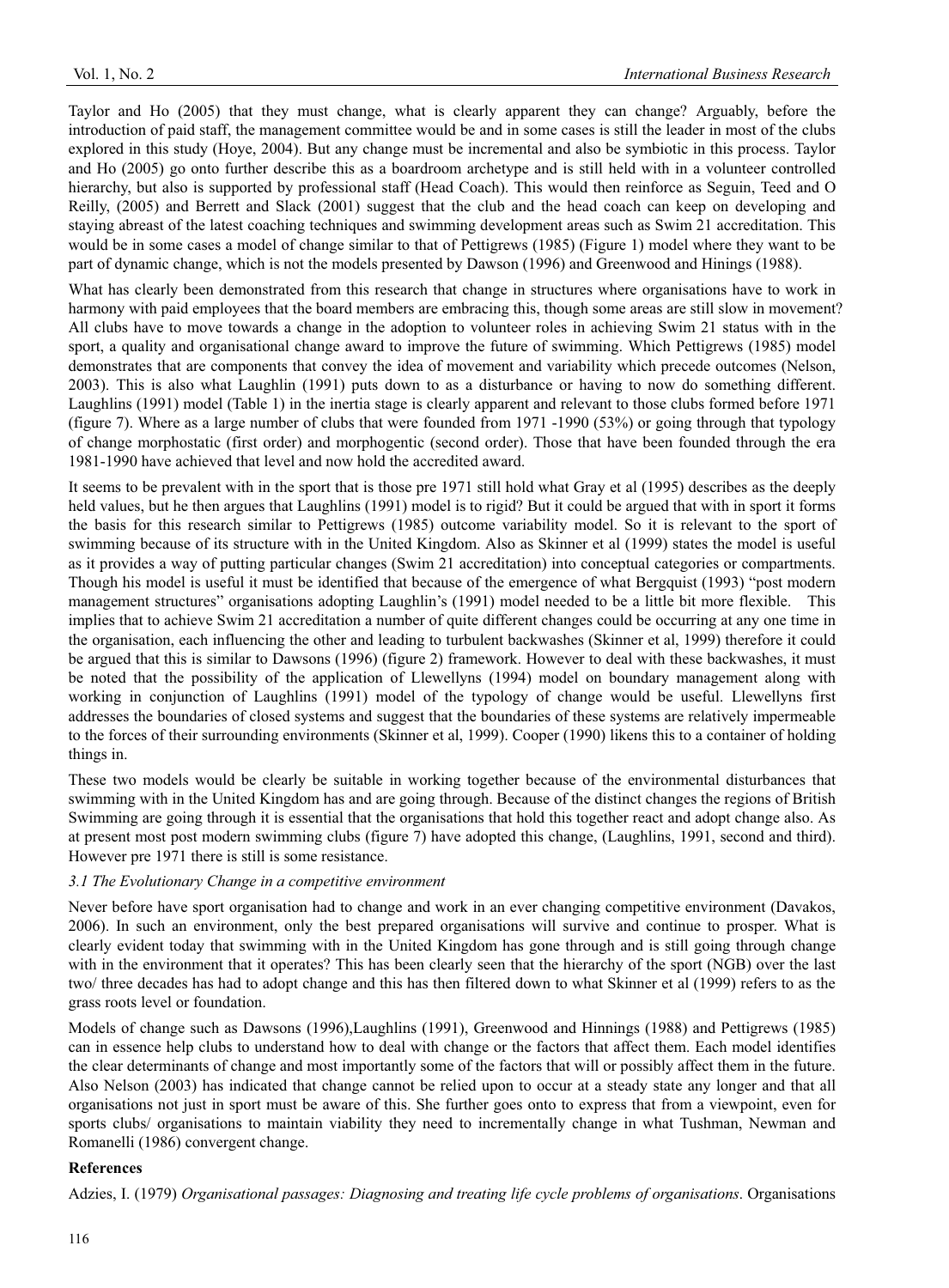Taylor and Ho (2005) that they must change, what is clearly apparent they can change? Arguably, before the introduction of paid staff, the management committee would be and in some cases is still the leader in most of the clubs explored in this study (Hoye, 2004). But any change must be incremental and also be symbiotic in this process. Taylor and Ho (2005) go onto further describe this as a boardroom archetype and is still held with in a volunteer controlled hierarchy, but also is supported by professional staff (Head Coach). This would then reinforce as Seguin, Teed and O Reilly, (2005) and Berrett and Slack (2001) suggest that the club and the head coach can keep on developing and staying abreast of the latest coaching techniques and swimming development areas such as Swim 21 accreditation. This would be in some cases a model of change similar to that of Pettigrews (1985) (Figure 1) model where they want to be part of dynamic change, which is not the models presented by Dawson (1996) and Greenwood and Hinings (1988).

What has clearly been demonstrated from this research that change in structures where organisations have to work in harmony with paid employees that the board members are embracing this, though some areas are still slow in movement? All clubs have to move towards a change in the adoption to volunteer roles in achieving Swim 21 status with in the sport, a quality and organisational change award to improve the future of swimming. Which Pettigrews (1985) model demonstrates that are components that convey the idea of movement and variability which precede outcomes (Nelson, 2003). This is also what Laughlin (1991) puts down to as a disturbance or having to now do something different. Laughlins (1991) model (Table 1) in the inertia stage is clearly apparent and relevant to those clubs formed before 1971 (figure 7). Where as a large number of clubs that were founded from 1971 -1990 (53%) or going through that typology of change morphostatic (first order) and morphogentic (second order). Those that have been founded through the era 1981-1990 have achieved that level and now hold the accredited award.

It seems to be prevalent with in the sport that is those pre 1971 still hold what Gray et al (1995) describes as the deeply held values, but he then argues that Laughlins (1991) model is to rigid? But it could be argued that with in sport it forms the basis for this research similar to Pettigrews (1985) outcome variability model. So it is relevant to the sport of swimming because of its structure with in the United Kingdom. Also as Skinner et al (1999) states the model is useful as it provides a way of putting particular changes (Swim 21 accreditation) into conceptual categories or compartments. Though his model is useful it must be identified that because of the emergence of what Bergquist (1993) "post modern management structures" organisations adopting Laughlin's (1991) model needed to be a little bit more flexible. This implies that to achieve Swim 21 accreditation a number of quite different changes could be occurring at any one time in the organisation, each influencing the other and leading to turbulent backwashes (Skinner et al, 1999) therefore it could be argued that this is similar to Dawsons (1996) (figure 2) framework. However to deal with these backwashes, it must be noted that the possibility of the application of Llewellyns (1994) model on boundary management along with working in conjunction of Laughlins (1991) model of the typology of change would be useful. Llewellyns first addresses the boundaries of closed systems and suggest that the boundaries of these systems are relatively impermeable to the forces of their surrounding environments (Skinner et al, 1999). Cooper (1990) likens this to a container of holding things in.

These two models would be clearly be suitable in working together because of the environmental disturbances that swimming with in the United Kingdom has and are going through. Because of the distinct changes the regions of British Swimming are going through it is essential that the organisations that hold this together react and adopt change also. As at present most post modern swimming clubs (figure 7) have adopted this change, (Laughlins, 1991, second and third). However pre 1971 there is still is some resistance.

## *3.1 The Evolutionary Change in a competitive environment*

Never before have sport organisation had to change and work in an ever changing competitive environment (Davakos, 2006). In such an environment, only the best prepared organisations will survive and continue to prosper. What is clearly evident today that swimming with in the United Kingdom has gone through and is still going through change with in the environment that it operates? This has been clearly seen that the hierarchy of the sport (NGB) over the last two/ three decades has had to adopt change and this has then filtered down to what Skinner et al (1999) refers to as the grass roots level or foundation.

Models of change such as Dawsons (1996),Laughlins (1991), Greenwood and Hinnings (1988) and Pettigrews (1985) can in essence help clubs to understand how to deal with change or the factors that affect them. Each model identifies the clear determinants of change and most importantly some of the factors that will or possibly affect them in the future. Also Nelson (2003) has indicated that change cannot be relied upon to occur at a steady state any longer and that all organisations not just in sport must be aware of this. She further goes onto to express that from a viewpoint, even for sports clubs/ organisations to maintain viability they need to incrementally change in what Tushman, Newman and Romanelli (1986) convergent change.

# **References**

Adzies, I. (1979) *Organisational passages: Diagnosing and treating life cycle problems of organisations*. Organisations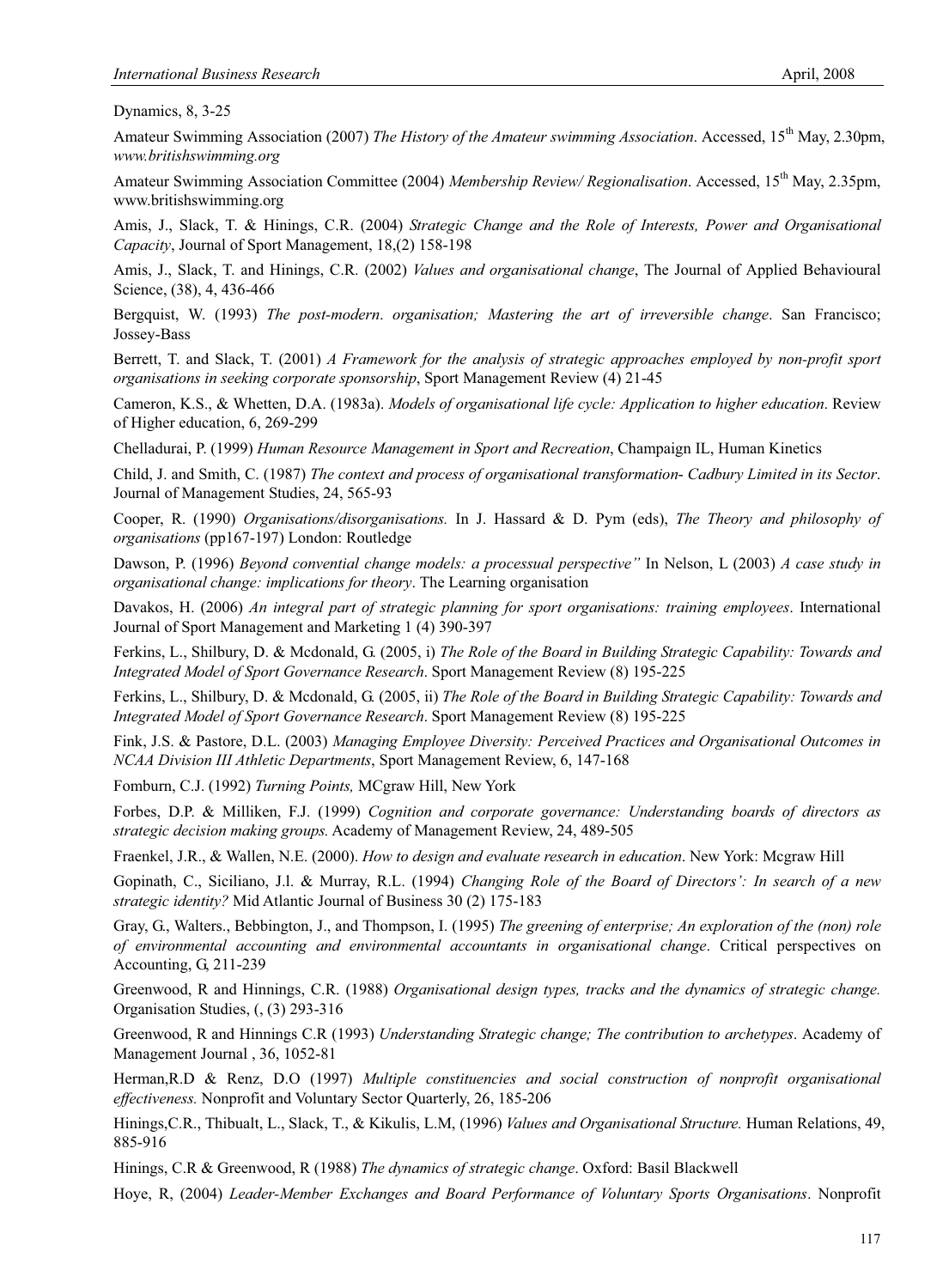Dynamics, 8, 3-25

Amateur Swimming Association (2007) *The History of the Amateur swimming Association*. Accessed, 15<sup>th</sup> May, 2.30pm, *www.britishswimming.org* 

Amateur Swimming Association Committee (2004) *Membership Review/ Regionalisation*. Accessed, 15th May, 2.35pm, www.britishswimming.org

Amis, J., Slack, T. & Hinings, C.R. (2004) *Strategic Change and the Role of Interests, Power and Organisational Capacity*, Journal of Sport Management, 18,(2) 158-198

Amis, J., Slack, T. and Hinings, C.R. (2002) *Values and organisational change*, The Journal of Applied Behavioural Science, (38), 4, 436-466

Bergquist, W. (1993) *The post-modern*. *organisation; Mastering the art of irreversible change*. San Francisco; Jossey-Bass

Berrett, T. and Slack, T. (2001) *A Framework for the analysis of strategic approaches employed by non-profit sport organisations in seeking corporate sponsorship*, Sport Management Review (4) 21-45

Cameron, K.S., & Whetten, D.A. (1983a). *Models of organisational life cycle: Application to higher education*. Review of Higher education, 6, 269-299

Chelladurai, P. (1999) *Human Resource Management in Sport and Recreation*, Champaign IL, Human Kinetics

Child, J. and Smith, C. (1987) *The context and process of organisational transformation*- *Cadbury Limited in its Sector*. Journal of Management Studies, 24, 565-93

Cooper, R. (1990) *Organisations/disorganisations.* In J. Hassard & D. Pym (eds), *The Theory and philosophy of organisations* (pp167-197) London: Routledge

Dawson, P. (1996) *Beyond convential change models: a processual perspective"* In Nelson, L (2003) *A case study in organisational change: implications for theory*. The Learning organisation

Davakos, H. (2006) *An integral part of strategic planning for sport organisations: training employees*. International Journal of Sport Management and Marketing 1 (4) 390-397

Ferkins, L., Shilbury, D. & Mcdonald, G. (2005, i) *The Role of the Board in Building Strategic Capability: Towards and Integrated Model of Sport Governance Research*. Sport Management Review (8) 195-225

Ferkins, L., Shilbury, D. & Mcdonald, G. (2005, ii) *The Role of the Board in Building Strategic Capability: Towards and Integrated Model of Sport Governance Research*. Sport Management Review (8) 195-225

Fink, J.S. & Pastore, D.L. (2003) *Managing Employee Diversity: Perceived Practices and Organisational Outcomes in NCAA Division III Athletic Departments*, Sport Management Review, 6, 147-168

Fomburn, C.J. (1992) *Turning Points,* MCgraw Hill, New York

Forbes, D.P. & Milliken, F.J. (1999) *Cognition and corporate governance: Understanding boards of directors as strategic decision making groups.* Academy of Management Review, 24, 489-505

Fraenkel, J.R., & Wallen, N.E. (2000). *How to design and evaluate research in education*. New York: Mcgraw Hill

Gopinath, C., Siciliano, J.l. & Murray, R.L. (1994) *Changing Role of the Board of Directors': In search of a new strategic identity?* Mid Atlantic Journal of Business 30 (2) 175-183

Gray, G., Walters., Bebbington, J., and Thompson, I. (1995) *The greening of enterprise; An exploration of the (non) role of environmental accounting and environmental accountants in organisational change*. Critical perspectives on Accounting, G, 211-239

Greenwood, R and Hinnings, C.R. (1988) *Organisational design types, tracks and the dynamics of strategic change.* Organisation Studies, (, (3) 293-316

Greenwood, R and Hinnings C.R (1993) *Understanding Strategic change; The contribution to archetypes*. Academy of Management Journal , 36, 1052-81

Herman,R.D & Renz, D.O (1997) *Multiple constituencies and social construction of nonprofit organisational effectiveness.* Nonprofit and Voluntary Sector Quarterly, 26, 185-206

Hinings,C.R., Thibualt, L., Slack, T., & Kikulis, L.M, (1996) *Values and Organisational Structure.* Human Relations, 49, 885-916

Hinings, C.R & Greenwood, R (1988) *The dynamics of strategic change*. Oxford: Basil Blackwell

Hoye, R, (2004) *Leader-Member Exchanges and Board Performance of Voluntary Sports Organisations*. Nonprofit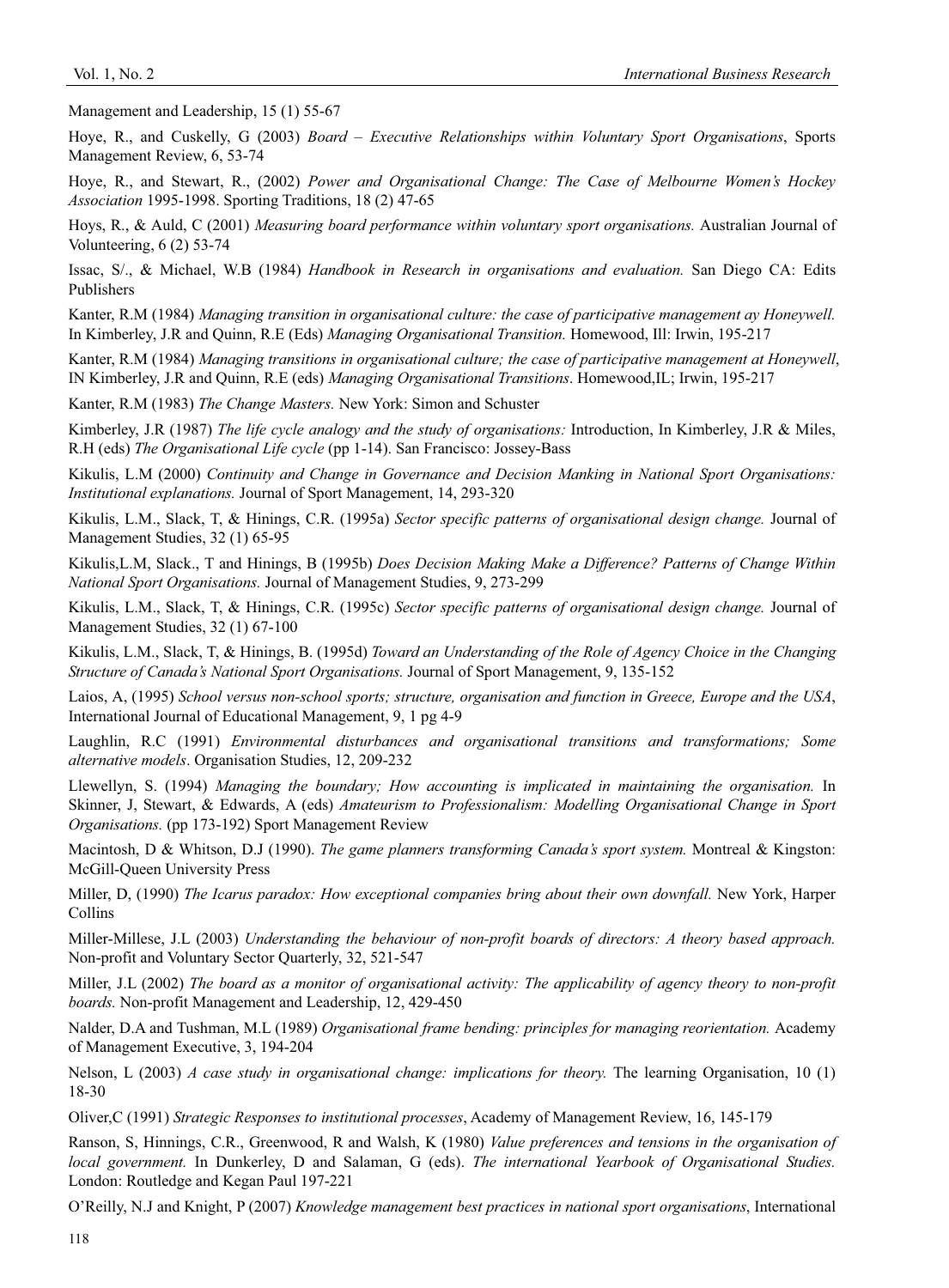Management and Leadership, 15 (1) 55-67

Hoye, R., and Cuskelly, G (2003) *Board – Executive Relationships within Voluntary Sport Organisations*, Sports Management Review, 6, 53-74

Hoye, R., and Stewart, R., (2002) *Power and Organisational Change: The Case of Melbourne Women's Hockey Association* 1995-1998. Sporting Traditions, 18 (2) 47-65

Hoys, R., & Auld, C (2001) *Measuring board performance within voluntary sport organisations.* Australian Journal of Volunteering, 6 (2) 53-74

Issac, S/., & Michael, W.B (1984) *Handbook in Research in organisations and evaluation.* San Diego CA: Edits Publishers

Kanter, R.M (1984) *Managing transition in organisational culture: the case of participative management ay Honeywell.* In Kimberley, J.R and Quinn, R.E (Eds) *Managing Organisational Transition.* Homewood, Ill: Irwin, 195-217

Kanter, R.M (1984) *Managing transitions in organisational culture; the case of participative management at Honeywell*, IN Kimberley, J.R and Quinn, R.E (eds) *Managing Organisational Transitions*. Homewood,IL; Irwin, 195-217

Kanter, R.M (1983) *The Change Masters.* New York: Simon and Schuster

Kimberley, J.R (1987) *The life cycle analogy and the study of organisations:* Introduction, In Kimberley, J.R & Miles, R.H (eds) *The Organisational Life cycle* (pp 1-14). San Francisco: Jossey-Bass

Kikulis, L.M (2000) *Continuity and Change in Governance and Decision Manking in National Sport Organisations: Institutional explanations.* Journal of Sport Management, 14, 293-320

Kikulis, L.M., Slack, T, & Hinings, C.R. (1995a) *Sector specific patterns of organisational design change.* Journal of Management Studies, 32 (1) 65-95

Kikulis,L.M, Slack., T and Hinings, B (1995b) *Does Decision Making Make a Difference? Patterns of Change Within National Sport Organisations.* Journal of Management Studies, 9, 273-299

Kikulis, L.M., Slack, T, & Hinings, C.R. (1995c) *Sector specific patterns of organisational design change.* Journal of Management Studies, 32 (1) 67-100

Kikulis, L.M., Slack, T, & Hinings, B. (1995d) *Toward an Understanding of the Role of Agency Choice in the Changing Structure of Canada's National Sport Organisations.* Journal of Sport Management, 9, 135-152

Laios, A, (1995) *School versus non-school sports; structure, organisation and function in Greece, Europe and the USA*, International Journal of Educational Management, 9, 1 pg 4-9

Laughlin, R.C (1991) *Environmental disturbances and organisational transitions and transformations; Some alternative models*. Organisation Studies, 12, 209-232

Llewellyn, S. (1994) *Managing the boundary; How accounting is implicated in maintaining the organisation.* In Skinner, J, Stewart, & Edwards, A (eds) *Amateurism to Professionalism: Modelling Organisational Change in Sport Organisations.* (pp 173-192) Sport Management Review

Macintosh, D & Whitson, D.J (1990). *The game planners transforming Canada's sport system.* Montreal & Kingston: McGill-Queen University Press

Miller, D, (1990) *The Icarus paradox: How exceptional companies bring about their own downfall.* New York, Harper Collins

Miller-Millese, J.L (2003) *Understanding the behaviour of non-profit boards of directors: A theory based approach.*  Non-profit and Voluntary Sector Quarterly, 32, 521-547

Miller, J.L (2002) *The board as a monitor of organisational activity: The applicability of agency theory to non-profit boards.* Non-profit Management and Leadership, 12, 429-450

Nalder, D.A and Tushman, M.L (1989) *Organisational frame bending: principles for managing reorientation.* Academy of Management Executive, 3, 194-204

Nelson, L (2003) *A case study in organisational change: implications for theory.* The learning Organisation, 10 (1) 18-30

Oliver,C (1991) *Strategic Responses to institutional processes*, Academy of Management Review, 16, 145-179

Ranson, S, Hinnings, C.R., Greenwood, R and Walsh, K (1980) *Value preferences and tensions in the organisation of local government.* In Dunkerley, D and Salaman, G (eds). *The international Yearbook of Organisational Studies.*  London: Routledge and Kegan Paul 197-221

O'Reilly, N.J and Knight, P (2007) *Knowledge management best practices in national sport organisations*, International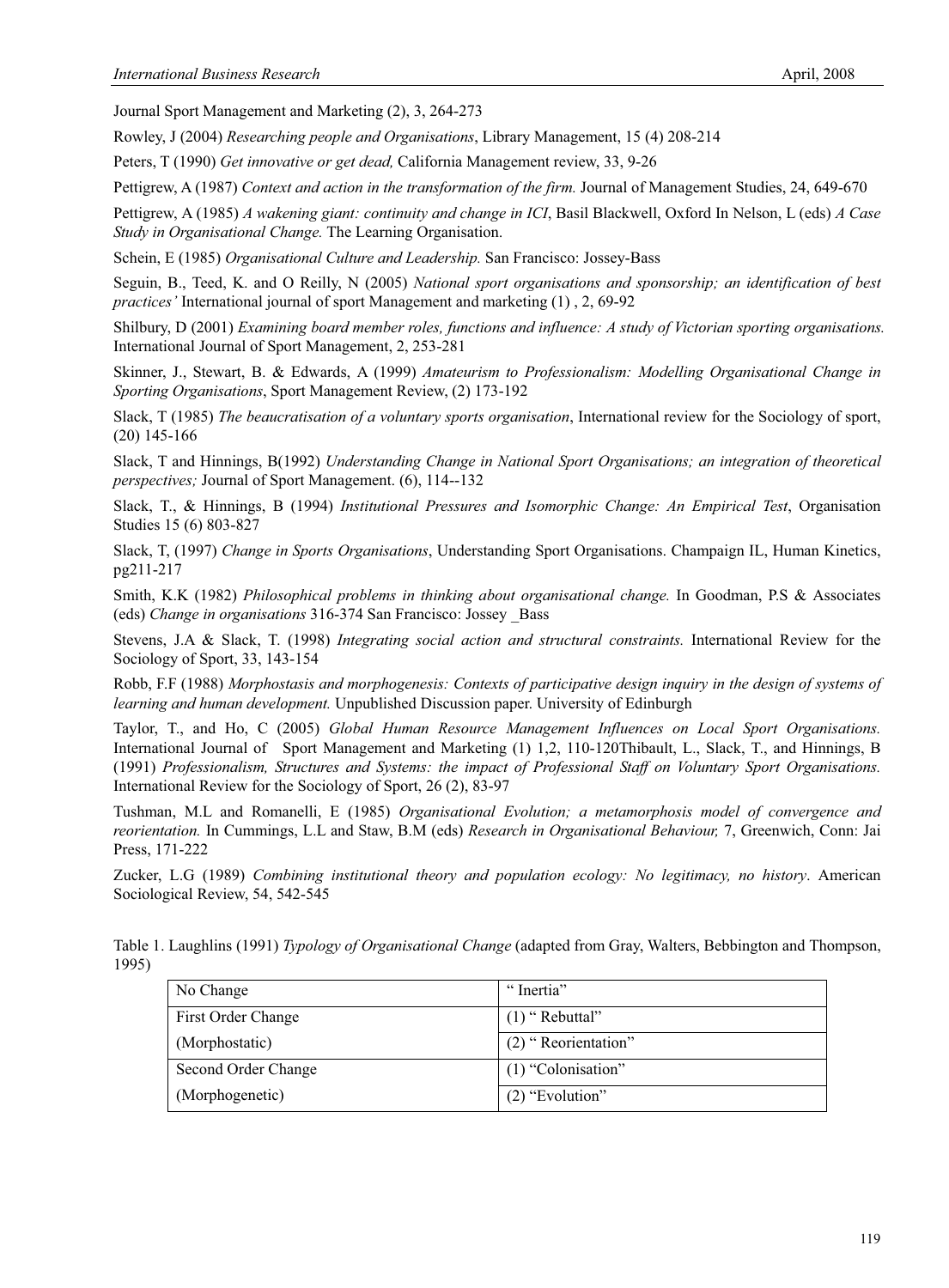Journal Sport Management and Marketing (2), 3, 264-273

Rowley, J (2004) *Researching people and Organisations*, Library Management, 15 (4) 208-214

Peters, T (1990) *Get innovative or get dead,* California Management review, 33, 9-26

Pettigrew, A (1987) *Context and action in the transformation of the firm.* Journal of Management Studies, 24, 649-670

Pettigrew, A (1985) *A wakening giant: continuity and change in ICI*, Basil Blackwell, Oxford In Nelson, L (eds) *A Case Study in Organisational Change.* The Learning Organisation.

Schein, E (1985) *Organisational Culture and Leadership.* San Francisco: Jossey-Bass

Seguin, B., Teed, K. and O Reilly, N (2005) *National sport organisations and sponsorship; an identification of best practices'* International journal of sport Management and marketing (1) , 2, 69-92

Shilbury, D (2001) *Examining board member roles, functions and influence: A study of Victorian sporting organisations.*  International Journal of Sport Management, 2, 253-281

Skinner, J., Stewart, B. & Edwards, A (1999) *Amateurism to Professionalism: Modelling Organisational Change in Sporting Organisations*, Sport Management Review, (2) 173-192

Slack, T (1985) *The beaucratisation of a voluntary sports organisation*, International review for the Sociology of sport, (20) 145-166

Slack, T and Hinnings, B(1992) *Understanding Change in National Sport Organisations; an integration of theoretical perspectives;* Journal of Sport Management. (6), 114--132

Slack, T., & Hinnings, B (1994) *Institutional Pressures and Isomorphic Change: An Empirical Test*, Organisation Studies 15 (6) 803-827

Slack, T, (1997) *Change in Sports Organisations*, Understanding Sport Organisations. Champaign IL, Human Kinetics, pg211-217

Smith, K.K (1982) *Philosophical problems in thinking about organisational change.* In Goodman, P.S & Associates (eds) *Change in organisations* 316-374 San Francisco: Jossey \_Bass

Stevens, J.A & Slack, T. (1998) *Integrating social action and structural constraints.* International Review for the Sociology of Sport, 33, 143-154

Robb, F.F (1988) *Morphostasis and morphogenesis: Contexts of participative design inquiry in the design of systems of learning and human development.* Unpublished Discussion paper. University of Edinburgh

Taylor, T., and Ho, C (2005) *Global Human Resource Management Influences on Local Sport Organisations.* International Journal of Sport Management and Marketing (1) 1,2, 110-120Thibault, L., Slack, T., and Hinnings, B (1991) *Professionalism, Structures and Systems: the impact of Professional Staff on Voluntary Sport Organisations.*  International Review for the Sociology of Sport, 26 (2), 83-97

Tushman, M.L and Romanelli, E (1985) *Organisational Evolution; a metamorphosis model of convergence and reorientation.* In Cummings, L.L and Staw, B.M (eds) *Research in Organisational Behaviour,* 7, Greenwich, Conn: Jai Press, 171-222

Zucker, L.G (1989) *Combining institutional theory and population ecology: No legitimacy, no history*. American Sociological Review, 54, 542-545

Table 1. Laughlins (1991) *Typology of Organisational Change* (adapted from Gray, Walters, Bebbington and Thompson, 1995)

| No Change           | "Inertia"             |
|---------------------|-----------------------|
| First Order Change  | $(1)$ "Rebuttal"      |
| (Morphostatic)      | $(2)$ "Reorientation" |
| Second Order Change | (1) "Colonisation"    |
| (Morphogenetic)     | $(2)$ "Evolution"     |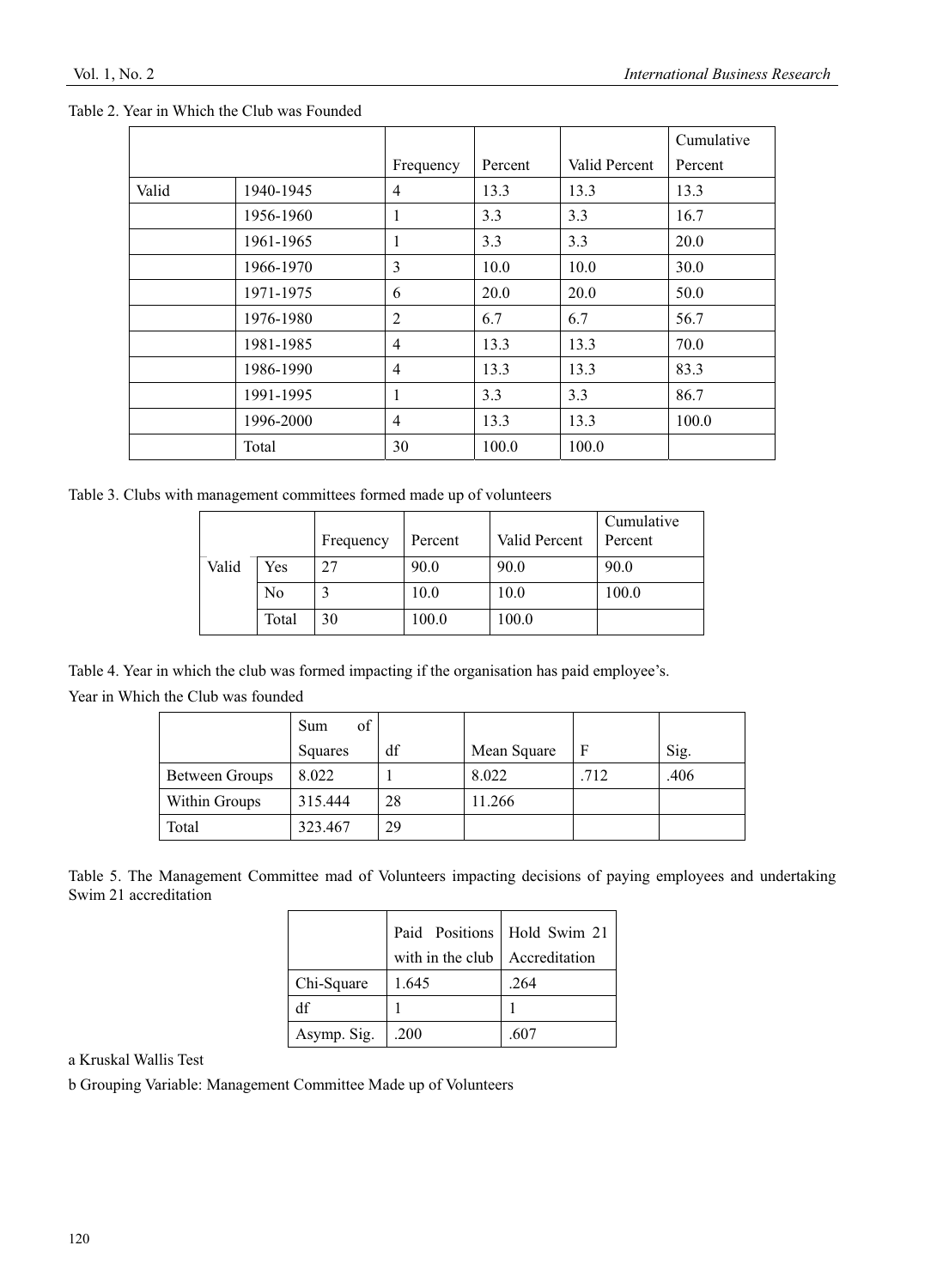|       |           |                |         |               | Cumulative |
|-------|-----------|----------------|---------|---------------|------------|
|       |           | Frequency      | Percent | Valid Percent | Percent    |
| Valid | 1940-1945 | $\overline{4}$ | 13.3    | 13.3          | 13.3       |
|       | 1956-1960 | 1              | 3.3     | 3.3           | 16.7       |
|       | 1961-1965 | 1              | 3.3     | 3.3           | 20.0       |
|       | 1966-1970 | 3              | 10.0    | 10.0          | 30.0       |
|       | 1971-1975 | 6              | 20.0    | 20.0          | 50.0       |
|       | 1976-1980 | 2              | 6.7     | 6.7           | 56.7       |
|       | 1981-1985 | $\overline{4}$ | 13.3    | 13.3          | 70.0       |
|       | 1986-1990 | $\overline{4}$ | 13.3    | 13.3          | 83.3       |
|       | 1991-1995 | 1              | 3.3     | 3.3           | 86.7       |
|       | 1996-2000 | $\overline{4}$ | 13.3    | 13.3          | 100.0      |
|       | Total     | 30             | 100.0   | 100.0         |            |

Table 2. Year in Which the Club was Founded

Table 3. Clubs with management committees formed made up of volunteers

|       |       | Frequency | Percent | Valid Percent | Cumulative<br>Percent |
|-------|-------|-----------|---------|---------------|-----------------------|
| Valid | Yes   | 27        | 90.0    | 90.0          | 90.0                  |
|       | No    |           | 10.0    | 10.0          | 100.0                 |
|       | Total | 30        | 100.0   | 100.0         |                       |

Table 4. Year in which the club was formed impacting if the organisation has paid employee's.

Year in Which the Club was founded

|                | of<br>Sum |    |             |      |      |
|----------------|-----------|----|-------------|------|------|
|                | Squares   | df | Mean Square | F    | Sig. |
| Between Groups | 8.022     |    | 8.022       | .712 | .406 |
| Within Groups  | 315.444   | 28 | 11.266      |      |      |
| Total          | 323.467   | 29 |             |      |      |

Table 5. The Management Committee mad of Volunteers impacting decisions of paying employees and undertaking Swim 21 accreditation

|             | Paid Positions   Hold Swim 21          |      |  |  |
|-------------|----------------------------------------|------|--|--|
|             | with in the club $\vert$ Accreditation |      |  |  |
| Chi-Square  | 1.645                                  | .264 |  |  |
| df          |                                        |      |  |  |
| Asymp. Sig. | .200                                   | .607 |  |  |

a Kruskal Wallis Test

b Grouping Variable: Management Committee Made up of Volunteers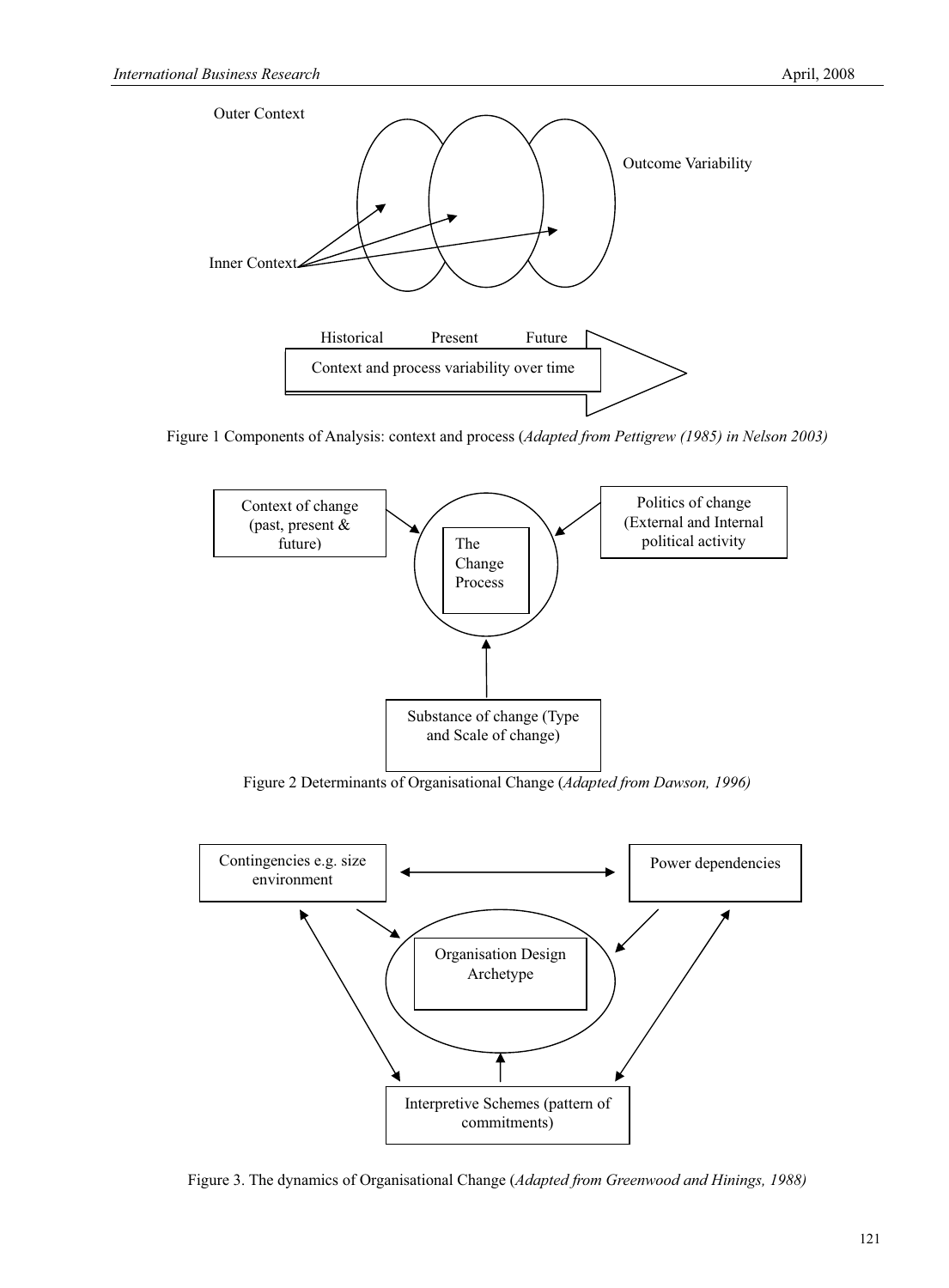

Figure 1 Components of Analysis: context and process (*Adapted from Pettigrew (1985) in Nelson 2003)*



Figure 2 Determinants of Organisational Change (*Adapted from Dawson, 1996)*



Figure 3. The dynamics of Organisational Change (*Adapted from Greenwood and Hinings, 1988)*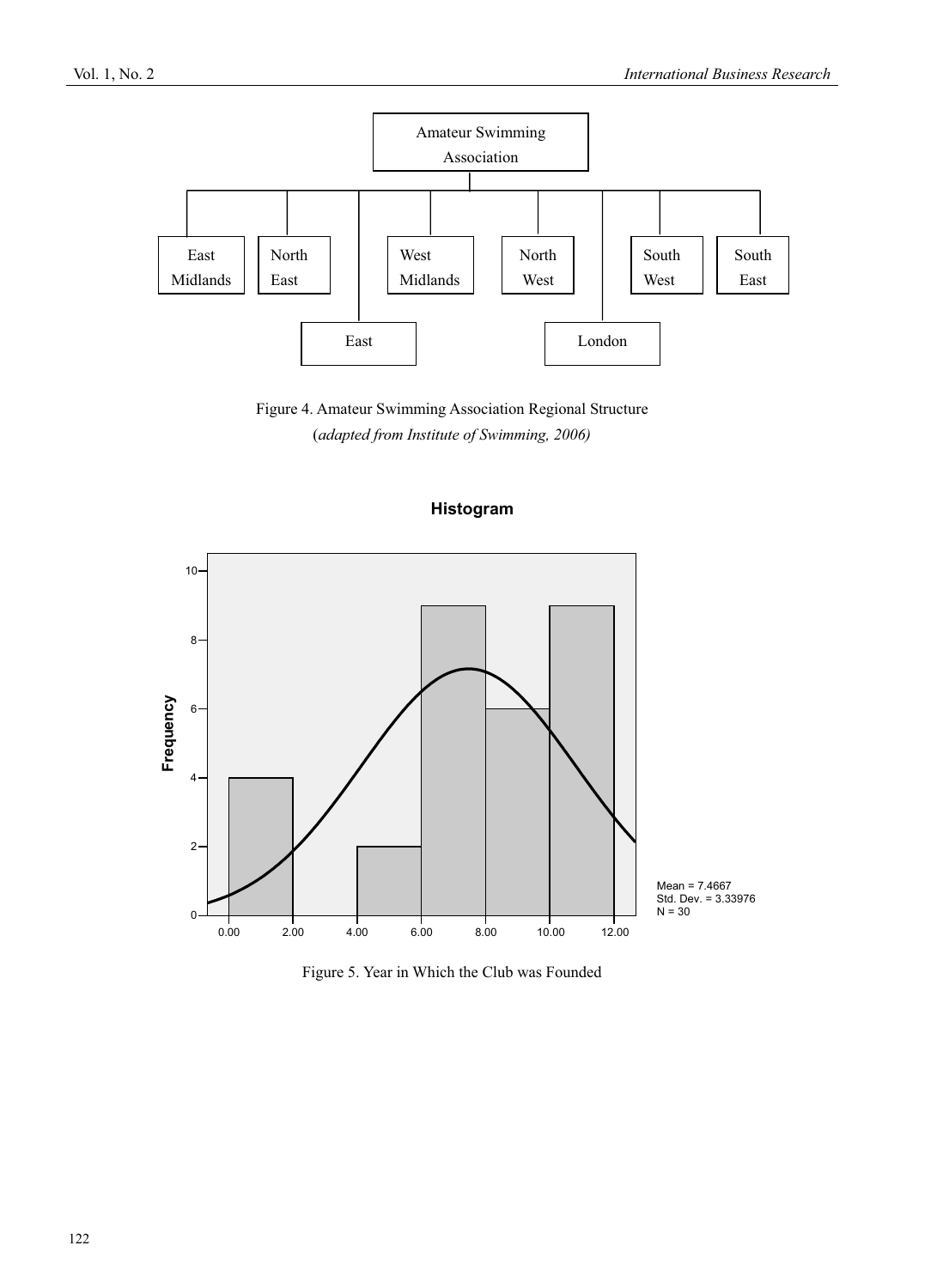

Figure 4. Amateur Swimming Association Regional Structure (*adapted from Institute of Swimming, 2006)* 

**Histogram**



Figure 5. Year in Which the Club was Founded